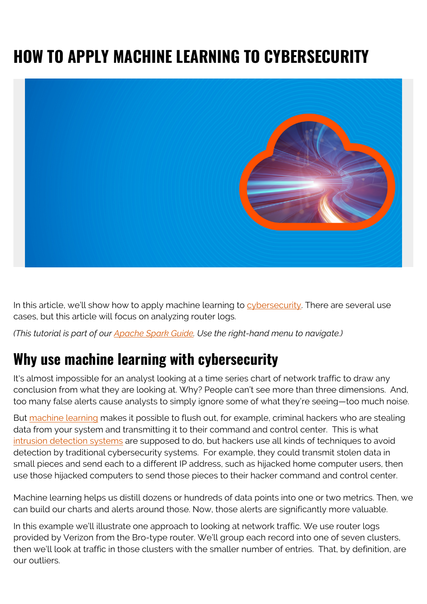# **HOW TO APPLY MACHINE LEARNING TO CYBERSECURITY**



In this article, we'll show how to apply machine learning to [cybersecurity](https://blogs.bmc.com/blogs/cybersecurity/). There are several use cases, but this article will focus on analyzing router logs.

*(This tutorial is part of our [Apache Spark Guide.](https://blogs.bmc.com/blogs/introduction-to-sparks-machine-learning-pipeline/) Use the right-hand menu to navigate.)*

### **Why use machine learning with cybersecurity**

It's almost impossible for an analyst looking at a time series chart of network traffic to draw any conclusion from what they are looking at. Why? People can't see more than three dimensions. And, too many false alerts cause analysts to simply ignore some of what they're seeing—too much noise.

But [machine learning](https://www.bmc.com/blogs/deep-learning-vs-machine-learning/) makes it possible to flush out, for example, criminal hackers who are stealing data from your system and transmitting it to their command and control center. This is what [intrusion detection systems](https://www.bmc.com/blogs/ids-intrusion-detection-vs-ips-intrusion-prevention-systems/) are supposed to do, but hackers use all kinds of techniques to avoid detection by traditional cybersecurity systems. For example, they could transmit stolen data in small pieces and send each to a different IP address, such as hijacked home computer users, then use those hijacked computers to send those pieces to their hacker command and control center.

Machine learning helps us distill dozens or hundreds of data points into one or two metrics. Then, we can build our charts and alerts around those. Now, those alerts are significantly more valuable.

In this example we'll illustrate one approach to looking at network traffic. We use router logs provided by Verizon from the Bro-type router. We'll group each record into one of seven clusters, then we'll look at traffic in those clusters with the smaller number of entries. That, by definition, are our outliers.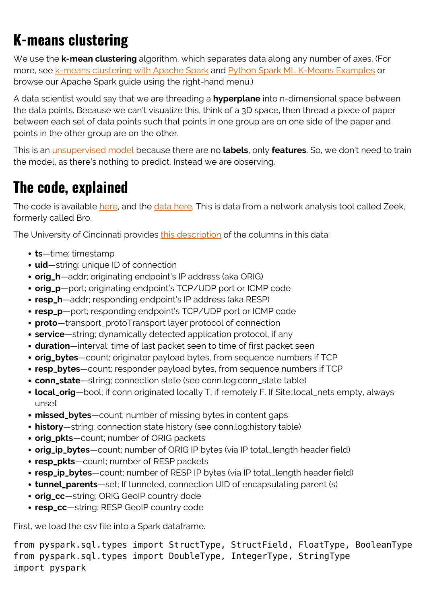## **K-means clustering**

We use the **k-mean clustering** algorithm, which separates data along any number of axes. (For more, see [k-means clustering with Apache Spark](https://blogs.bmc.com/blogs/k-means-clustering-apache-spark/) and [Python Spark ML K-Means Examples](https://blogs.bmc.com/blogs/python-spark-k-means-example/) or browse our Apache Spark guide using the right-hand menu.)

A data scientist would say that we are threading a **hyperplane** into n-dimensional space between the data points. Because we can't visualize this, think of a 3D space, then thread a piece of paper between each set of data points such that points in one group are on one side of the paper and points in the other group are on the other.

This is an [unsupervised model](https://blogs.bmc.com/blogs/supervised-vs-unsupervised-aiops-machine-learning/) because there are no **labels**, only **features**. So, we don't need to train the model, as there's nothing to predict. Instead we are observing.

### **The code, explained**

The code is available [here,](https://github.com/werowe/cyberSecurityAnalytics/blob/master/verizon.ipynb) and the [data here.](https://github.com/werowe/cyberSecurityAnalytics/blob/master/bigger.log.zip) This is data from a network analysis tool called Zeek, formerly called Bro.

The University of Cincinnati provides [this description](http://gauss.ececs.uc.edu/Courses/c5155/pdf/bro_log_vars.pdf) of the columns in this data:

- **ts**—time; timestamp
- **uid**—string; unique ID of connection
- **orig\_h**—addr; originating endpoint's IP address (aka ORIG)
- **orig\_p**—port; originating endpoint's TCP/UDP port or ICMP code
- **resp\_h**—addr; responding endpoint's IP address (aka RESP)
- **resp\_p**—port; responding endpoint's TCP/UDP port or ICMP code
- **proto**—transport\_protoTransport layer protocol of connection
- **service**—string; dynamically detected application protocol, if any
- **duration**—interval; time of last packet seen to time of first packet seen
- **orig\_bytes**—count; originator payload bytes, from sequence numbers if TCP
- **resp\_bytes**—count; responder payload bytes, from sequence numbers if TCP
- **conn\_state**—string; connection state (see conn.log:conn\_state table)
- **local\_orig**—bool; if conn originated locally T; if remotely F. If Site::local\_nets empty, always unset
- **missed\_bytes**—count; number of missing bytes in content gaps
- **history**—string; connection state history (see conn.log:history table)
- **orig\_pkts**—count; number of ORIG packets
- **orig\_ip\_bytes**—count; number of ORIG IP bytes (via IP total\_length header field)
- **resp\_pkts**—count; number of RESP packets
- **resp\_ip\_bytes**—count; number of RESP IP bytes (via IP total\_length header field)
- **tunnel\_parents**—set; If tunneled, connection UID of encapsulating parent (s)
- **orig\_cc**—string; ORIG GeoIP country dode
- **resp\_cc**—string; RESP GeoIP country code

First, we load the csv file into a Spark dataframe.

from pyspark.sql.types import StructType, StructField, FloatType, BooleanType from pyspark.sql.types import DoubleType, IntegerType, StringType import pyspark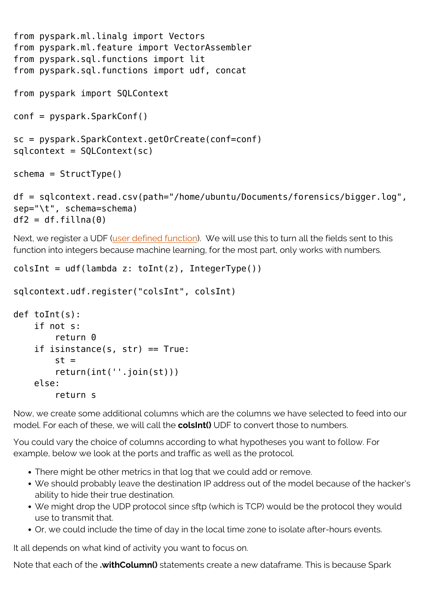```
from pyspark.ml.linalg import Vectors
from pyspark.ml.feature import VectorAssembler
from pyspark.sql.functions import lit
from pyspark.sql.functions import udf, concat
from pyspark import SQLContext
conf = pyspark.SparkConf()
sc = pyspark.SparkContext.getOrCreate(conf=conf)
sqlcontext = SQLContext(sc)
schema = StructType()
```

```
df = sqlcontext.read.csv(path="/home/ubuntu/Documents/forensics/bigger.log",
sep="\t", schema=schema)
df2 = df.fillna(0)
```
Next, we register a UDF ([user defined function](https://www.bmc.com/blogs/how-to-write-spark-udf-python/)). We will use this to turn all the fields sent to this function into integers because machine learning, for the most part, only works with numbers.

```
colsInt = udf(lambda z: toInt(z), IntegerType())
```

```
sqlcontext.udf.register("colsInt", colsInt)
```

```
def toInt(s):
     if not s:
        return 0
     if isinstance(s, str) == True:
        st = return(int(''.join(st)))
     else:
         return s
```
Now, we create some additional columns which are the columns we have selected to feed into our model. For each of these, we will call the **colsInt()** UDF to convert those to numbers.

You could vary the choice of columns according to what hypotheses you want to follow. For example, below we look at the ports and traffic as well as the protocol.

- There might be other metrics in that log that we could add or remove.
- We should probably leave the destination IP address out of the model because of the hacker's ability to hide their true destination.
- We might drop the UDP protocol since sftp (which is TCP) would be the protocol they would use to transmit that.
- Or, we could include the time of day in the local time zone to isolate after-hours events.

It all depends on what kind of activity you want to focus on.

Note that each of the **.withColumn()** statements create a new dataframe. This is because Spark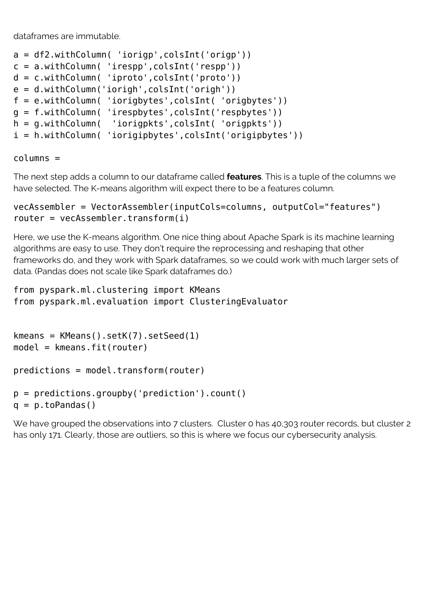dataframes are immutable.

```
a = df2.withColumn( 'iorigp',colsInt('origp'))
c = a.withColumn( 'irespp',colsInt('respp'))
d = c.withColumn( 'iproto',colsInt('proto'))
e = d.withColumn('iorigh',colsInt('origh'))
f = e.withColumn( 'iorigbytes',colsInt( 'origbytes'))
g = f.withColumn( 'irespbytes',colsInt('respbytes'))
h = g.withColumn( 'iorigpkts',colsInt( 'origpkts'))
i = h.withColumn( 'iorigipbytes',colsInt('origipbytes'))
```
columns =

The next step adds a column to our dataframe called **features**. This is a tuple of the columns we have selected. The K-means algorithm will expect there to be a features column.

```
vecAssembler = VectorAssembler(inputCols=columns, outputCol="features")
router = vecAssembler.transform(i)
```
Here, we use the K-means algorithm. One nice thing about Apache Spark is its machine learning algorithms are easy to use. They don't require the reprocessing and reshaping that other frameworks do, and they work with Spark dataframes, so we could work with much larger sets of data. (Pandas does not scale like Spark dataframes do.)

```
from pyspark.ml.clustering import KMeans
from pyspark.ml.evaluation import ClusteringEvaluator
```

```
kmeans = KMeans().setK(7).setSeed(1)model = kmeans.fit(router)
```

```
predictions = model.transform(router)
```

```
p = predictions.groupby('prediction').count()
q = p.toPandas()
```
We have grouped the observations into 7 clusters. Cluster 0 has 40,303 router records, but cluster 2 has only 171. Clearly, those are outliers, so this is where we focus our cybersecurity analysis.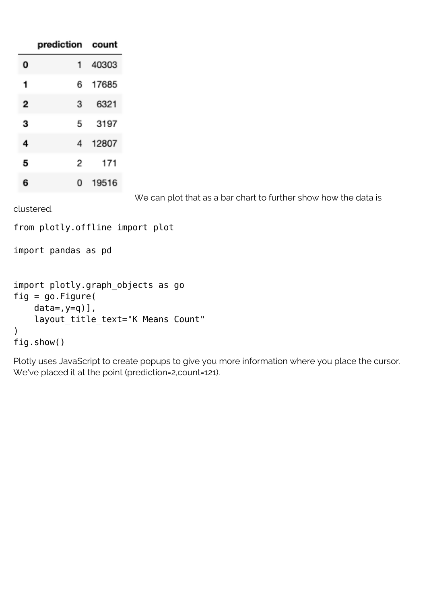|   | prediction count |       |
|---|------------------|-------|
| 0 | 1                | 40303 |
| 1 | 6                | 17685 |
| 2 | 3                | 6321  |
| 3 | 5                | 3197  |
| 4 | 4                | 12807 |
| 5 | 2                | 171   |
| 6 | 0                | 19516 |

We can plot that as a bar chart to further show how the data is

clustered.

```
from plotly.offline import plot
```
import pandas as pd

```
import plotly.graph_objects as go
fig = go.Figure(data=,y=q)],
    layout title text="K Means Count"
)
fig.show()
```
Plotly uses JavaScript to create popups to give you more information where you place the cursor. We've placed it at the point (prediction=2,count=121).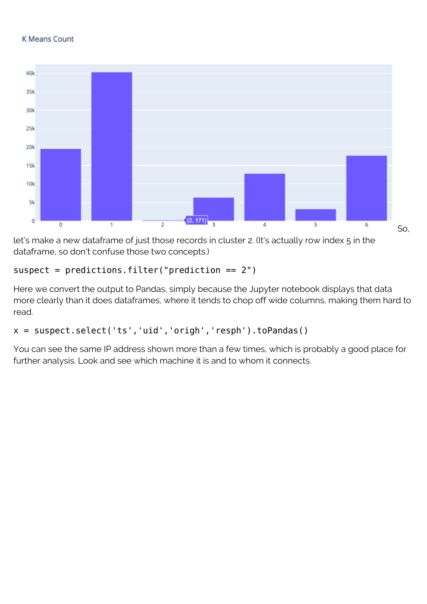#### **K Means Count**



let's make a new dataframe of just those records in cluster 2. (It's actually row index 5 in the dataframe, so don't confuse those two concepts.)

#### $suspect = predictions.fiter("prediction == 2")$

Here we convert the output to Pandas, simply because the Jupyter notebook displays that data more clearly than it does dataframes, where it tends to chop off wide columns, making them hard to read.

### x = suspect.select('ts','uid','origh','resph').toPandas()

You can see the same IP address shown more than a few times, which is probably a good place for further analysis. Look and see which machine it is and to whom it connects.